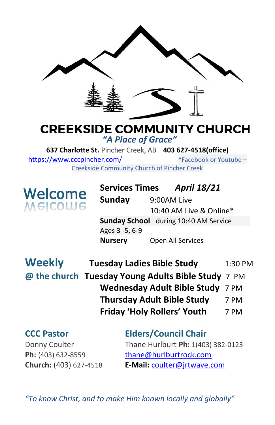

### **CREEKSIDE COMMUNITY CHURCH** *"A Place of Grace"*

**637 Charlotte St.** Pincher Creek, AB **403 627-4518(office)**  <https://www.cccpincher.com/>\*Facebook or Youtube – Creekside Community Church of Pincher Creek

**Welcome**<br>Melcolue

**! Services Times** *April 18/21* **Sunday** 9:00AM Live 10:40 AM Live & Online\* **Sunday School** during 10:40 AM Service Ages 3 -5, 6-9 **Nursery** Open All Services

| <b>Weekly</b> | <b>Tuesday Ladies Bible Study</b>                  | 1:30 PM |
|---------------|----------------------------------------------------|---------|
|               | @ the church Tuesday Young Adults Bible Study 7 PM |         |
|               | Wednesday Adult Bible Study 7 PM                   |         |
|               | <b>Thursday Adult Bible Study</b>                  | 7 PM    |
|               | <b>Friday 'Holy Rollers' Youth</b>                 | 7 PM    |

## **CCC Pastor Elders/Council Chair** Donny Coulter Thane Hurlburt **Ph:** 1(403) 382-0123 Ph: (403) 632-8559 [thane@hurlburtrock.com](mailto:thane@hurlburtrock.com)

**Church:** (403) 627-4518 **E-Mail:** [coulter@jrtwave.com](mailto:coulter@jrtwave.com)

*"To know Christ, and to make Him known locally and globally"*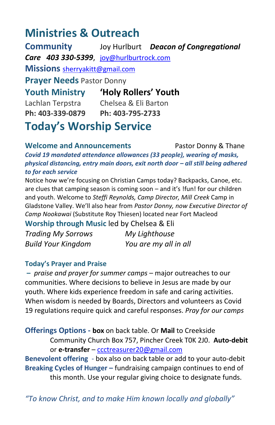# **Ministries & Outreach**

**Community** Joy Hurlburt *Deacon of Congregational Care 403 330-5399*, [joy@hurlburtrock.com](mailto:joy@hurlburtrock.com) **Missions** [sherryakitt@gmail.com](mailto:sherryakitt@gmail.com) **Prayer Needs** Pastor Donny **Youth Ministry 'Holy Rollers' Youth** Lachlan Terpstra Chelsea & Eli Barton **Ph: 403-339-0879 Ph: 403-795-2733 Today's Worship Service**

**Welcome and Announcements** Pastor Donny & Thane *Covid 19 mandated attendance allowances (33 people), wearing of masks, physical distancing, entry main doors, exit north door – all still being adhered to for each service*

Notice how we're focusing on Christian Camps today? Backpacks, Canoe, etc. are clues that camping season is coming soon – and it's !fun! for our children and youth. Welcome to *Steffi Reynolds, Camp Director, Mill Creek* Camp in Gladstone Valley. We'll also hear from *Pastor Donny, now Executive Director of Camp Nookawai* (Substitute Roy Thiesen) located near Fort Macleod

**Worship through Music** led by Chelsea & Eli

| <b>Trading My Sorrows</b> | My Lighthouse         |
|---------------------------|-----------------------|
| <b>Build Your Kingdom</b> | You are my all in all |

### **Today's Prayer and Praise**

**–** *praise and prayer for summer camps* – major outreaches to our communities. Where decisions to believe in Jesus are made by our youth. Where kids experience freedom in safe and caring activities. When wisdom is needed by Boards, Directors and volunteers as Covid 19 regulations require quick and careful responses. *Pray for our camps*

**Offerings Options - box** on back table. Or **Mail** to Creekside Community Church Box 757, Pincher Creek T0K 2J0. **Auto-debit** or **e-transfer** – [ccctreasurer20@gmail.com](mailto:ccctreasurer20@gmail.com)

**Benevolent offering** - box also on back table or add to your auto-debit **Breaking Cycles of Hunger –** fundraising campaign continues to end of this month. Use your regular giving choice to designate funds.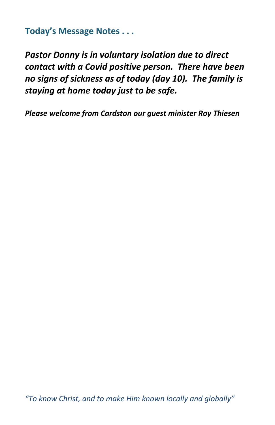**Today's Message Notes . . .**

*Pastor Donny is in voluntary isolation due to direct contact with a Covid positive person. There have been no signs of sickness as of today (day 10). The family is staying at home today just to be safe.*

*Please welcome from Cardston our guest minister Roy Thiesen*

*"To know Christ, and to make Him known locally and globally"*